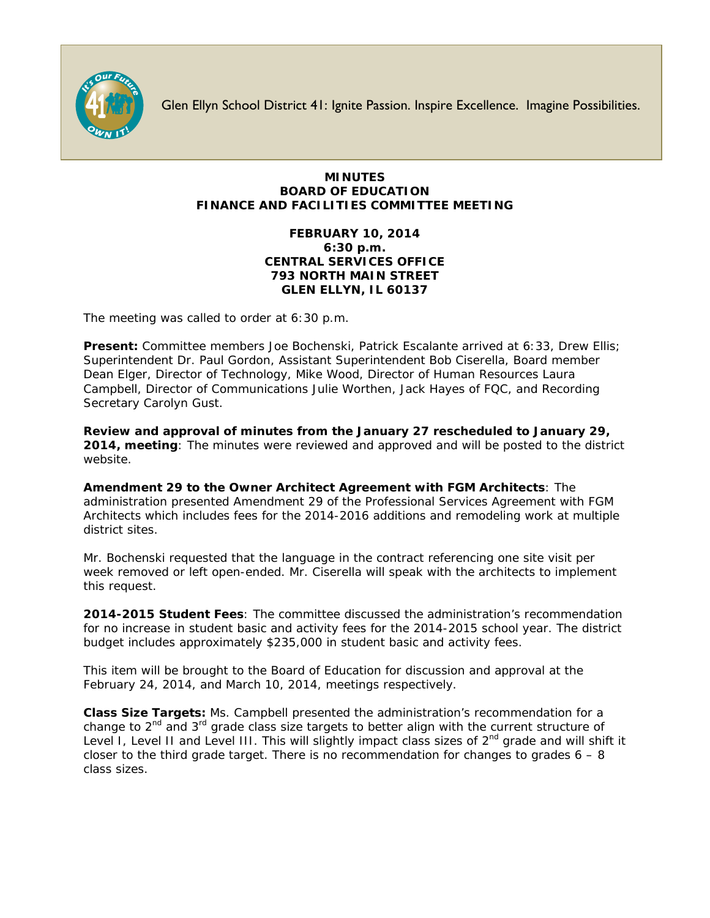

Glen Ellyn School District 41: Ignite Passion. Inspire Excellence. Imagine Possibilities.

## **MINUTES BOARD OF EDUCATION FINANCE AND FACILITIES COMMITTEE MEETING**

## **FEBRUARY 10, 2014 6:30 p.m. CENTRAL SERVICES OFFICE 793 NORTH MAIN STREET GLEN ELLYN, IL 60137**

The meeting was called to order at 6:30 p.m.

**Present:** Committee members Joe Bochenski, Patrick Escalante arrived at 6:33, Drew Ellis; Superintendent Dr. Paul Gordon, Assistant Superintendent Bob Ciserella, Board member Dean Elger, Director of Technology, Mike Wood, Director of Human Resources Laura Campbell, Director of Communications Julie Worthen, Jack Hayes of FQC, and Recording Secretary Carolyn Gust.

**Review and approval of minutes from the January 27 rescheduled to January 29, 2014, meeting**: The minutes were reviewed and approved and will be posted to the district website.

**Amendment 29 to the Owner Architect Agreement with FGM Architects**: The administration presented Amendment 29 of the Professional Services Agreement with FGM Architects which includes fees for the 2014-2016 additions and remodeling work at multiple district sites.

Mr. Bochenski requested that the language in the contract referencing one site visit per week removed or left open-ended. Mr. Ciserella will speak with the architects to implement this request.

**2014-2015 Student Fees**: The committee discussed the administration's recommendation for no increase in student basic and activity fees for the 2014-2015 school year. The district budget includes approximately \$235,000 in student basic and activity fees.

This item will be brought to the Board of Education for discussion and approval at the February 24, 2014, and March 10, 2014, meetings respectively.

**Class Size Targets:** Ms. Campbell presented the administration's recommendation for a change to  $2^{nd}$  and  $3^{rd}$  grade class size targets to better align with the current structure of Level I, Level II and Level III. This will slightly impact class sizes of 2<sup>nd</sup> grade and will shift it closer to the third grade target. There is no recommendation for changes to grades  $6 - 8$ class sizes.